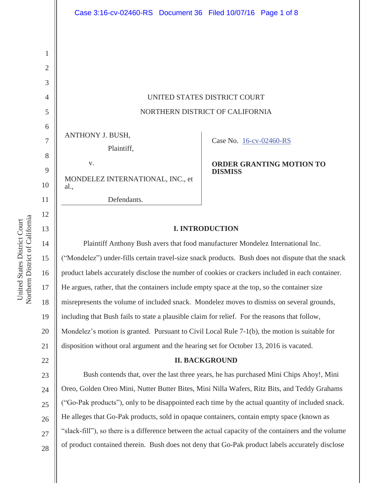UNITED STATES DISTRICT COURT NORTHERN DISTRICT OF CALIFORNIA

ANTHONY J. BUSH,

Plaintiff,

v. MONDELEZ INTERNATIONAL, INC., et al.,

Defendants.

Case No. 16-cv-02460-RS

**ORDER GRANTING MOTION TO DISMISS**

# **I. INTRODUCTION**

 Plaintiff Anthony Bush avers that food manufacturer Mondelez International Inc. ("Mondelez") under-fills certain travel-size snack products. Bush does not dispute that the snack product labels accurately disclose the number of cookies or crackers included in each container. He argues, rather, that the containers include empty space at the top, so the container size misrepresents the volume of included snack. Mondelez moves to dismiss on several grounds, including that Bush fails to state a plausible claim for relief. For the reasons that follow, Mondelez's motion is granted. Pursuant to Civil Local Rule 7-1(b), the motion is suitable for disposition without oral argument and the hearing set for October 13, 2016 is vacated.

# **II. BACKGROUND**

23 24 25 26 27 28 Bush contends that, over the last three years, he has purchased Mini Chips Ahoy!, Mini Oreo, Golden Oreo Mini, Nutter Butter Bites, Mini Nilla Wafers, Ritz Bits, and Teddy Grahams ("Go-Pak products"), only to be disappointed each time by the actual quantity of included snack. He alleges that Go-Pak products, sold in opaque containers, contain empty space (known as "slack-fill"), so there is a difference between the actual capacity of the containers and the volume of product contained therein. Bush does not deny that Go-Pak product labels accurately disclose

1

2

3

4

5

6

7

8

9

10

11

12

13

14

15

16

17

18

19

20

21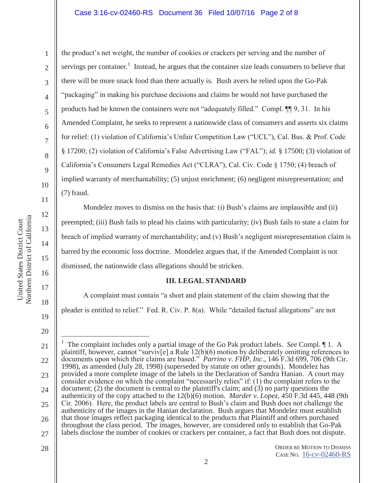## Case 3:16-cv-02460-RS Document 36 Filed 10/07/16 Page 2 of 8

Northern District of California Northern District of California United States District Court United States District Court

1

2

3

4

5

6

7

8

9

10

11

12

13

14

15

16

17

18

19

20

the product's net weight, the number of cookies or crackers per serving and the number of servings per container.<sup>1</sup> Instead, he argues that the container size leads consumers to believe that there will be more snack food than there actually is. Bush avers he relied upon the Go-Pak "packaging" in making his purchase decisions and claims he would not have purchased the products had he known the containers were not "adequately filled." Compl. ¶¶ 9, 31. In his Amended Complaint, he seeks to represent a nationwide class of consumers and asserts six claims for relief: (1) violation of California's Unfair Competition Law ("UCL"), Cal. Bus. & Prof. Code § 17200; (2) violation of California's False Advertising Law ("FAL"); *id.* § 17500; (3) violation of California's Consumers Legal Remedies Act ("CLRA"), Cal. Civ. Code § 1750; (4) breach of implied warranty of merchantability; (5) unjust enrichment; (6) negligent misrepresentation; and (7) fraud.

Mondelez moves to dismiss on the basis that: (i) Bush's claims are implausible and (ii) preempted; (iii) Bush fails to plead his claims with particularity; (iv) Bush fails to state a claim for breach of implied warranty of merchantability; and (v) Bush's negligent misrepresentation claim is barred by the economic loss doctrine. Mondelez argues that, if the Amended Complaint is not dismissed, the nationwide class allegations should be stricken.

### **III. LEGAL STANDARD**

A complaint must contain "a short and plain statement of the claim showing that the pleader is entitled to relief." Fed. R. Civ. P. 8(a). While "detailed factual allegations" are not

<sup>21</sup>  22 23 24 25 26 27  $\overline{a}$ 1 The complaint includes only a partial image of the Go Pak product labels. *See* Compl. ¶ 1. A plaintiff, however, cannot "surviv $[e]$  a Rule 12(b)(6) motion by deliberately omitting references to documents upon which their claims are based." *Parrino v. FHP, Inc*., 146 F.3d 699, 706 (9th Cir. 1998), as amended (July 28, 1998) (superseded by statute on other grounds). Mondelez has provided a more complete image of the labels in the Declaration of Sandra Hanian. A court may consider evidence on which the complaint "necessarily relies" if: (1) the complaint refers to the document; (2) the document is central to the plaintiff's claim; and (3) no party questions the authenticity of the copy attached to the 12(b)(6) motion. *Marder v. Lopez*, 450 F.3d 445, 448 (9th Cir. 2006). Here, the product labels are central to Bush's claim and Bush does not challenge the authenticity of the images in the Hanian declaration. Bush argues that Mondelez must establish that those images reflect packaging identical to the products that Plaintiff and others purchased throughout the class period. The images, however, are considered only to establish that Go-Pak labels disclose the number of cookies or crackers per container, a fact that Bush does not dispute.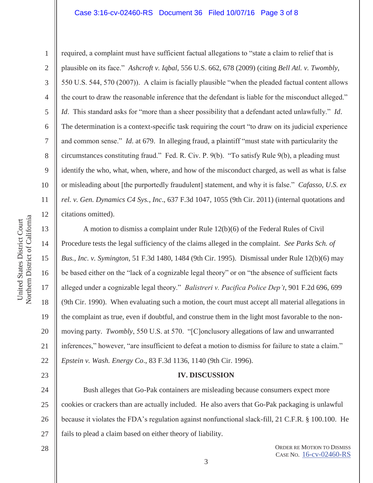### Case 3:16-cv-02460-RS Document 36 Filed 10/07/16 Page 3 of 8

7 9 10

1

2

3

4

5

6

8

11

12

13

14

15

17

18

19

23

required, a complaint must have sufficient factual allegations to "state a claim to relief that is plausible on its face." *Ashcroft v. Iqbal*, 556 U.S. 662, 678 (2009) (citing *Bell Atl. v. Twombly*, 550 U.S. 544, 570 (2007)). A claim is facially plausible "when the pleaded factual content allows the court to draw the reasonable inference that the defendant is liable for the misconduct alleged." *Id*. This standard asks for "more than a sheer possibility that a defendant acted unlawfully." *Id*. The determination is a context-specific task requiring the court "to draw on its judicial experience and common sense." *Id*. at 679. In alleging fraud, a plaintiff "must state with particularity the circumstances constituting fraud." Fed. R. Civ. P. 9(b). "To satisfy Rule 9(b), a pleading must identify the who, what, when, where, and how of the misconduct charged, as well as what is false or misleading about [the purportedly fraudulent] statement, and why it is false." *Cafasso, U.S. ex rel. v. Gen. Dynamics C4 Sys., Inc*., 637 F.3d 1047, 1055 (9th Cir. 2011) (internal quotations and citations omitted).

16 20 21 22 A motion to dismiss a complaint under Rule 12(b)(6) of the Federal Rules of Civil Procedure tests the legal sufficiency of the claims alleged in the complaint. *See Parks Sch. of Bus., Inc. v. Symington*, 51 F.3d 1480, 1484 (9th Cir. 1995). Dismissal under Rule 12(b)(6) may be based either on the "lack of a cognizable legal theory" or on "the absence of sufficient facts alleged under a cognizable legal theory." *Balistreri v. Pacifica Police Dep't*, 901 F.2d 696, 699 (9th Cir. 1990). When evaluating such a motion, the court must accept all material allegations in the complaint as true, even if doubtful, and construe them in the light most favorable to the nonmoving party. *Twombly*, 550 U.S. at 570. "[C]onclusory allegations of law and unwarranted inferences," however, "are insufficient to defeat a motion to dismiss for failure to state a claim." *Epstein v. Wash. Energy Co*., 83 F.3d 1136, 1140 (9th Cir. 1996).

#### **IV. DISCUSSION**

24 25 26 27 Bush alleges that Go-Pak containers are misleading because consumers expect more cookies or crackers than are actually included. He also avers that Go-Pak packaging is unlawful because it violates the FDA's regulation against nonfunctional slack-fill, 21 C.F.R. § 100.100. He fails to plead a claim based on either theory of liability.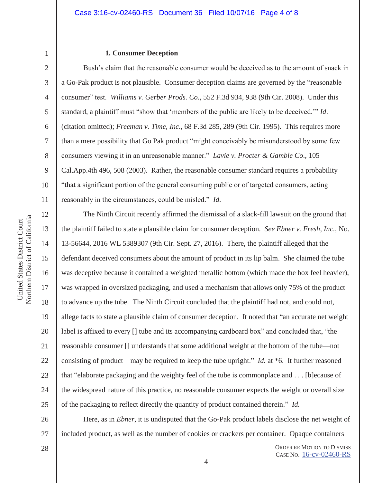## **1. Consumer Deception**

Bush's claim that the reasonable consumer would be deceived as to the amount of snack in a Go-Pak product is not plausible. Consumer deception claims are governed by the "reasonable consumer" test. *Williams v. Gerber Prods. Co*., 552 F.3d 934, 938 (9th Cir. 2008). Under this standard, a plaintiff must "show that 'members of the public are likely to be deceived.'" *Id*. (citation omitted); *Freeman v. Time, Inc*., 68 F.3d 285, 289 (9th Cir. 1995). This requires more than a mere possibility that Go Pak product "might conceivably be misunderstood by some few consumers viewing it in an unreasonable manner." *Lavie v. Procter & Gamble Co*., 105 Cal.App.4th 496, 508 (2003). Rather, the reasonable consumer standard requires a probability "that a significant portion of the general consuming public or of targeted consumers, acting reasonably in the circumstances, could be misled." *Id*.

The Ninth Circuit recently affirmed the dismissal of a slack-fill lawsuit on the ground that the plaintiff failed to state a plausible claim for consumer deception. *See Ebner v. Fresh, Inc.*, No. 13-56644, 2016 WL 5389307 (9th Cir. Sept. 27, 2016). There, the plaintiff alleged that the defendant deceived consumers about the amount of product in its lip balm. She claimed the tube was deceptive because it contained a weighted metallic bottom (which made the box feel heavier), was wrapped in oversized packaging, and used a mechanism that allows only 75% of the product to advance up the tube. The Ninth Circuit concluded that the plaintiff had not, and could not, allege facts to state a plausible claim of consumer deception. It noted that "an accurate net weight label is affixed to every [] tube and its accompanying cardboard box" and concluded that, "the reasonable consumer [] understands that some additional weight at the bottom of the tube—not consisting of product—may be required to keep the tube upright." *Id.* at \*6. It further reasoned that "elaborate packaging and the weighty feel of the tube is commonplace and . . . [b]ecause of the widespread nature of this practice, no reasonable consumer expects the weight or overall size of the packaging to reflect directly the quantity of product contained therein." *Id.* 

26 27 Here, as in *Ebner*, it is undisputed that the Go-Pak product labels disclose the net weight of included product, as well as the number of cookies or crackers per container. Opaque containers

28

Northern District of California Northern District of California United States District Court United States District Court

1

2

3

4

5

6

7

8

9

10

11

12

13

14

15

16

17

18

19

20

21

22

23

24

25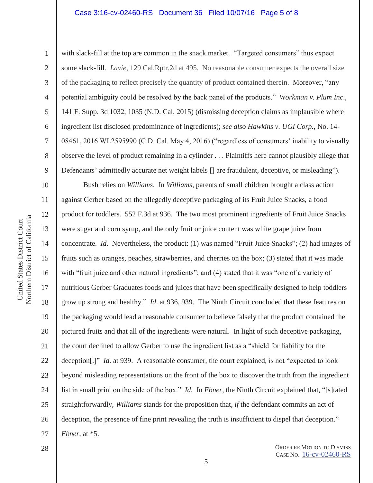### Case 3:16-cv-02460-RS Document 36 Filed 10/07/16 Page 5 of 8

Northern District of California Northern District of California United States District Court United States District Court

1

2

3

4

5

7

8

9

11

12

13

14

17

18

19

6 with slack-fill at the top are common in the snack market. "Targeted consumers" thus expect some slack-fill. *Lavie*, 129 Cal.Rptr.2d at 495. No reasonable consumer expects the overall size of the packaging to reflect precisely the quantity of product contained therein. Moreover, "any potential ambiguity could be resolved by the back panel of the products." *Workman v. Plum Inc*., 141 F. Supp. 3d 1032, 1035 (N.D. Cal. 2015) (dismissing deception claims as implausible where ingredient list disclosed predominance of ingredients); *see also Hawkins v. UGI Corp.*, No. 14- 08461, 2016 WL2595990 (C.D. Cal. May 4, 2016) ("regardless of consumers' inability to visually observe the level of product remaining in a cylinder . . . Plaintiffs here cannot plausibly allege that Defendants' admittedly accurate net weight labels [] are fraudulent, deceptive, or misleading").

10 15 16 20 21 22 23 24 26 27 Bush relies on *Williams*. In *Williams*, parents of small children brought a class action against Gerber based on the allegedly deceptive packaging of its Fruit Juice Snacks, a food product for toddlers. 552 F.3d at 936. The two most prominent ingredients of Fruit Juice Snacks were sugar and corn syrup, and the only fruit or juice content was white grape juice from concentrate. *Id*. Nevertheless, the product: (1) was named "Fruit Juice Snacks"; (2) had images of fruits such as oranges, peaches, strawberries, and cherries on the box; (3) stated that it was made with "fruit juice and other natural ingredients"; and (4) stated that it was "one of a variety of nutritious Gerber Graduates foods and juices that have been specifically designed to help toddlers grow up strong and healthy." *Id*. at 936, 939. The Ninth Circuit concluded that these features on the packaging would lead a reasonable consumer to believe falsely that the product contained the pictured fruits and that all of the ingredients were natural. In light of such deceptive packaging, the court declined to allow Gerber to use the ingredient list as a "shield for liability for the deception[.]" *Id.* at 939. A reasonable consumer, the court explained, is not "expected to look beyond misleading representations on the front of the box to discover the truth from the ingredient list in small print on the side of the box." *Id.* In *Ebner*, the Ninth Circuit explained that, "[s]tated straightforwardly, *Williams* stands for the proposition that, *if* the defendant commits an act of deception, the presence of fine print revealing the truth is insufficient to dispel that deception." *Ebner*, at \*5.

28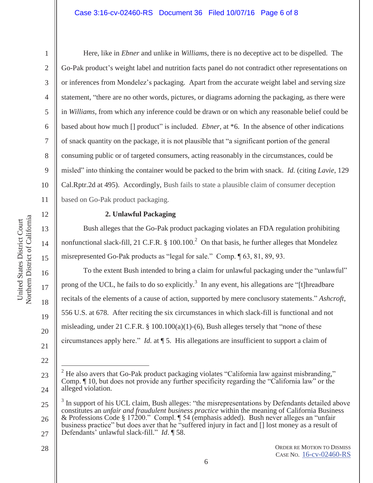# Case 3:16-cv-02460-RS Document 36 Filed 10/07/16 Page 6 of 8

1

2

3

4

5

6

7

8

9

10

11

12

13

14

15

16

17

18

19

20

21

22

Here, like in *Ebner* and unlike in *William*s, there is no deceptive act to be dispelled. The Go-Pak product's weight label and nutrition facts panel do not contradict other representations on or inferences from Mondelez's packaging. Apart from the accurate weight label and serving size statement, "there are no other words, pictures, or diagrams adorning the packaging, as there were in *Williams*, from which any inference could be drawn or on which any reasonable belief could be based about how much [] product" is included. *Ebner*, at \*6. In the absence of other indications of snack quantity on the package, it is not plausible that "a significant portion of the general consuming public or of targeted consumers, acting reasonably in the circumstances, could be misled" into thinking the container would be packed to the brim with snack. *Id.* (citing *Lavie*, 129 Cal.Rptr.2d at 495). Accordingly, Bush fails to state a plausible claim of consumer deception based on Go-Pak product packaging.

# **2. Unlawful Packaging**

Bush alleges that the Go-Pak product packaging violates an FDA regulation prohibiting nonfunctional slack-fill, 21 C.F.R.  $\S$  100.100.<sup>2</sup> On that basis, he further alleges that Mondelez misrepresented Go-Pak products as "legal for sale." Comp. ¶ 63, 81, 89, 93.

To the extent Bush intended to bring a claim for unlawful packaging under the "unlawful" prong of the UCL, he fails to do so explicitly.<sup>3</sup> In any event, his allegations are "[t]hreadbare recitals of the elements of a cause of action, supported by mere conclusory statements." *Ashcroft*, 556 U.S. at 678. After reciting the six circumstances in which slack-fill is functional and not misleading, under 21 C.F.R.  $\S$  100.100(a)(1)-(6), Bush alleges tersely that "none of these circumstances apply here." *Id.* at ¶ 5. His allegations are insufficient to support a claim of

<sup>23</sup>  24  $\overline{a}$ 2 He also avers that Go-Pak product packaging violates "California law against misbranding," Comp. ¶ 10, but does not provide any further specificity regarding the "California law" or the alleged violation.

<sup>25</sup>  26 3 In support of his UCL claim, Bush alleges: "the misrepresentations by Defendants detailed above constitutes an *unfair and fraudulent business practice* within the meaning of California Business & Professions Code § 17200." Compl. ¶ 54 (emphasis added). Bush never alleges an "unfair

<sup>27</sup>  business practice" but does aver that he "suffered injury in fact and [] lost money as a result of Defendants' unlawful slack-fill." *Id*. ¶ 58.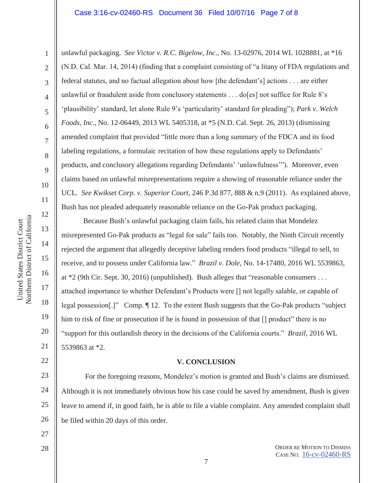### Case 3:16-cv-02460-RS Document 36 Filed 10/07/16 Page 7 of 8

unlawful packaging. *See Victor v. R.C. Bigelow, Inc*., No. 13-02976, 2014 WL 1028881, at \*16 (N.D. Cal. Mar. 14, 2014) (finding that a complaint consisting of "a litany of FDA regulations and federal statutes, and no factual allegation about how [the defendant's] actions . . . are either unlawful or fraudulent aside from conclusory statements  $\dots$  do [es] not suffice for Rule 8's 'plausibility' standard, let alone Rule 9's 'particularity' standard for pleading"); *Park v. Welch Foods, Inc*., No. 12-06449, 2013 WL 5405318, at \*5 (N.D. Cal. Sept. 26, 2013) (dismissing amended complaint that provided "little more than a long summary of the FDCA and its food labeling regulations, a formulaic recitation of how these regulations apply to Defendants' products, and conclusory allegations regarding Defendants' 'unlawfulness'"). Moreover, even claims based on unlawful misrepresentations require a showing of reasonable reliance under the UCL. *See Kwikset Corp. v. Superior Court*, 246 P.3d 877, 888 & n.9 (2011). As explained above, Bush has not pleaded adequately reasonable reliance on the Go-Pak product packaging.

Because Bush's unlawful packaging claim fails, his related claim that Mondelez misrepresented Go-Pak products as "legal for sale" fails too. Notably, the Ninth Circuit recently rejected the argument that allegedly deceptive labeling renders food products "illegal to sell, to receive, and to possess under California law." *Brazil v. Dole*, No. 14-17480, 2016 WL 5539863, at \*2 (9th Cir. Sept. 30, 2016) (unpublished). Bush alleges that "reasonable consumers . . . attached importance to whether Defendant's Products were [] not legally salable, or capable of legal possession[.]" Comp. ¶ 12. To the extent Bush suggests that the Go-Pak products "subject him to risk of fine or prosecution if he is found in possession of that  $\Box$  product" there is no "support for this outlandish theory in the decisions of the California courts." *Brazil*, 2016 WL 5539863 at \*2.

## **V. CONCLUSION**

 For the foregoing reasons, Mondelez's motion is granted and Bush's claims are dismissed. Although it is not immediately obvious how his case could be saved by amendment, Bush is given leave to amend if, in good faith, he is able to file a viable complaint. Any amended complaint shall be filed within 20 days of this order.

27

Northern District of California Northern District of California United States District Court United States District Court

1

2

3

4

5

6

7

8

9

10

11

12

13

14

15

16

17

18

19

20

21

22

23

24

25

26